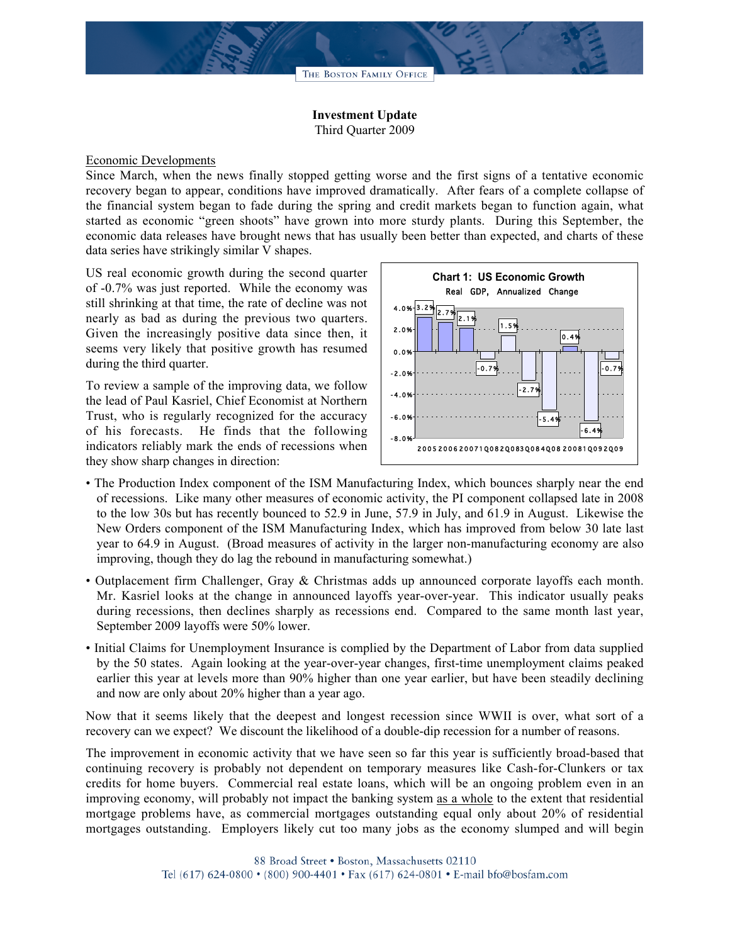## **Investment Update** Third Quarter 2009

## Economic Developments

Since March, when the news finally stopped getting worse and the first signs of a tentative economic recovery began to appear, conditions have improved dramatically. After fears of a complete collapse of the financial system began to fade during the spring and credit markets began to function again, what started as economic "green shoots" have grown into more sturdy plants. During this September, the economic data releases have brought news that has usually been better than expected, and charts of these data series have strikingly similar V shapes.

US real economic growth during the second quarter of -0.7% was just reported. While the economy was still shrinking at that time, the rate of decline was not nearly as bad as during the previous two quarters. Given the increasingly positive data since then, it seems very likely that positive growth has resumed during the third quarter.

To review a sample of the improving data, we follow the lead of Paul Kasriel, Chief Economist at Northern Trust, who is regularly recognized for the accuracy of his forecasts. He finds that the following indicators reliably mark the ends of recessions when they show sharp changes in direction:



- The Production Index component of the ISM Manufacturing Index, which bounces sharply near the end of recessions. Like many other measures of economic activity, the PI component collapsed late in 2008 to the low 30s but has recently bounced to 52.9 in June, 57.9 in July, and 61.9 in August. Likewise the New Orders component of the ISM Manufacturing Index, which has improved from below 30 late last year to 64.9 in August. (Broad measures of activity in the larger non-manufacturing economy are also improving, though they do lag the rebound in manufacturing somewhat.)
- Outplacement firm Challenger, Gray & Christmas adds up announced corporate layoffs each month. Mr. Kasriel looks at the change in announced layoffs year-over-year. This indicator usually peaks during recessions, then declines sharply as recessions end. Compared to the same month last year, September 2009 layoffs were 50% lower.
- Initial Claims for Unemployment Insurance is complied by the Department of Labor from data supplied by the 50 states. Again looking at the year-over-year changes, first-time unemployment claims peaked earlier this year at levels more than 90% higher than one year earlier, but have been steadily declining and now are only about 20% higher than a year ago.

Now that it seems likely that the deepest and longest recession since WWII is over, what sort of a recovery can we expect? We discount the likelihood of a double-dip recession for a number of reasons.

The improvement in economic activity that we have seen so far this year is sufficiently broad-based that continuing recovery is probably not dependent on temporary measures like Cash-for-Clunkers or tax credits for home buyers. Commercial real estate loans, which will be an ongoing problem even in an improving economy, will probably not impact the banking system as a whole to the extent that residential mortgage problems have, as commercial mortgages outstanding equal only about 20% of residential mortgages outstanding. Employers likely cut too many jobs as the economy slumped and will begin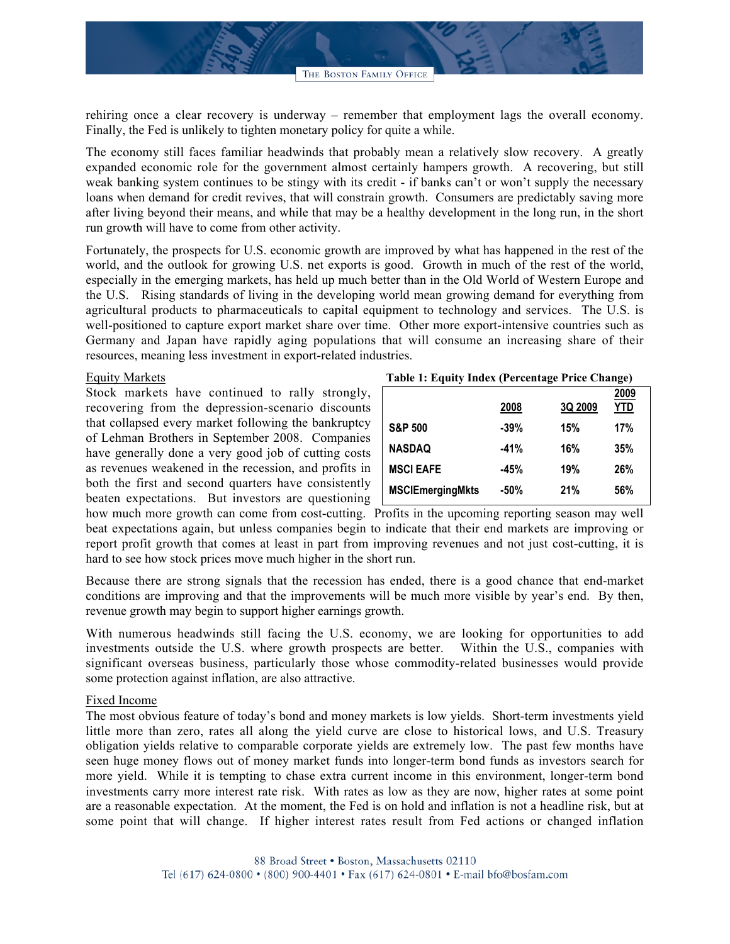rehiring once a clear recovery is underway – remember that employment lags the overall economy. Finally, the Fed is unlikely to tighten monetary policy for quite a while.

The economy still faces familiar headwinds that probably mean a relatively slow recovery. A greatly expanded economic role for the government almost certainly hampers growth. A recovering, but still weak banking system continues to be stingy with its credit - if banks can't or won't supply the necessary loans when demand for credit revives, that will constrain growth. Consumers are predictably saving more after living beyond their means, and while that may be a healthy development in the long run, in the short run growth will have to come from other activity.

Fortunately, the prospects for U.S. economic growth are improved by what has happened in the rest of the world, and the outlook for growing U.S. net exports is good. Growth in much of the rest of the world, especially in the emerging markets, has held up much better than in the Old World of Western Europe and the U.S. Rising standards of living in the developing world mean growing demand for everything from agricultural products to pharmaceuticals to capital equipment to technology and services. The U.S. is well-positioned to capture export market share over time. Other more export-intensive countries such as Germany and Japan have rapidly aging populations that will consume an increasing share of their resources, meaning less investment in export-related industries.

## Equity Markets

Stock markets have continued to rally strongly, recovering from the depression-scenario discounts that collapsed every market following the bankruptcy of Lehman Brothers in September 2008. Companies have generally done a very good job of cutting costs as revenues weakened in the recession, and profits in both the first and second quarters have consistently beaten expectations. But investors are questioning |

| Table 1: Equity Index (Percentage Price Change) |  |  |
|-------------------------------------------------|--|--|
|-------------------------------------------------|--|--|

|                         | 2008   | 3Q 2009 | 2009<br>YTD |
|-------------------------|--------|---------|-------------|
|                         |        |         |             |
| <b>S&amp;P 500</b>      | $-39%$ | 15%     | 17%         |
| <b>NASDAQ</b>           | $-41%$ | 16%     | 35%         |
| <b>MSCI EAFE</b>        | $-45%$ | 19%     | 26%         |
| <b>MSCIEmergingMkts</b> | -50%   | 21%     | 56%         |

how much more growth can come from cost-cutting. Profits in the upcoming reporting season may well beat expectations again, but unless companies begin to indicate that their end markets are improving or report profit growth that comes at least in part from improving revenues and not just cost-cutting, it is hard to see how stock prices move much higher in the short run.

Because there are strong signals that the recession has ended, there is a good chance that end-market conditions are improving and that the improvements will be much more visible by year's end. By then, revenue growth may begin to support higher earnings growth.

With numerous headwinds still facing the U.S. economy, we are looking for opportunities to add investments outside the U.S. where growth prospects are better. Within the U.S., companies with significant overseas business, particularly those whose commodity-related businesses would provide some protection against inflation, are also attractive.

## Fixed Income

The most obvious feature of today's bond and money markets is low yields. Short-term investments yield little more than zero, rates all along the yield curve are close to historical lows, and U.S. Treasury obligation yields relative to comparable corporate yields are extremely low. The past few months have seen huge money flows out of money market funds into longer-term bond funds as investors search for more yield. While it is tempting to chase extra current income in this environment, longer-term bond investments carry more interest rate risk. With rates as low as they are now, higher rates at some point are a reasonable expectation. At the moment, the Fed is on hold and inflation is not a headline risk, but at some point that will change. If higher interest rates result from Fed actions or changed inflation